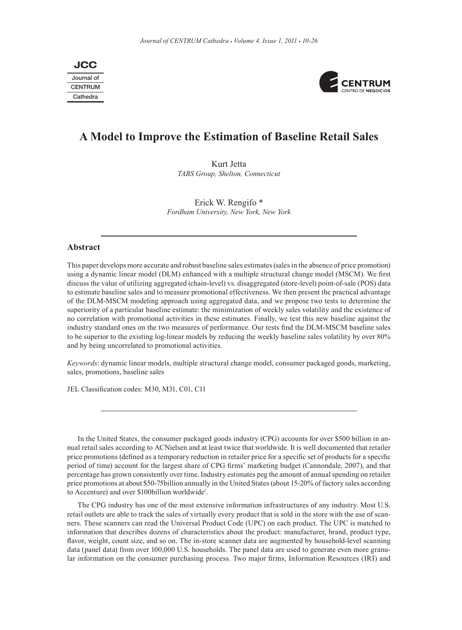Journal of **CENTRUM** Cathedra **JCC**



# **A Model to Improve the Estimation of Baseline Retail Sales**

Kurt Jetta *TABS Group, Shelton, Connecticut*

Erick W. Rengifo \* *Fordham University, New York, New York*

## **Abstract**

This paper develops more accurate and robust baseline sales estimates (sales in the absence of price promotion) using a dynamic linear model (DLM) enhanced with a multiple structural change model (MSCM). We first discuss the value of utilizing aggregated (chain-level) vs. disaggregated (store-level) point-of-sale (POS) data to estimate baseline sales and to measure promotional effectiveness. We then present the practical advantage of the DLM-MSCM modeling approach using aggregated data, and we propose two tests to determine the superiority of a particular baseline estimate: the minimization of weekly sales volatility and the existence of no correlation with promotional activities in these estimates. Finally, we test this new baseline against the industry standard ones on the two measures of performance. Our tests find the DLM-MSCM baseline sales to be superior to the existing log-linear models by reducing the weekly baseline sales volatility by over 80% and by being uncorrelated to promotional activities.

*Keywords*: dynamic linear models, multiple structural change model, consumer packaged goods, marketing, sales, promotions, baseline sales

JEL Classification codes: M30, M31, C01, C11

In the United States, the consumer packaged goods industry (CPG) accounts for over \$500 billion in annual retail sales according to ACNielsen and at least twice that worldwide. It is well documented that retailer price promotions (defined as a temporary reduction in retailer price for a specific set of products for a specific period of time) account for the largest share of CPG firms' marketing budget (Cannondale, 2007), and that percentage has grown consistently over time. Industry estimates peg the amount of annual spending on retailer price promotions at about \$50-75billion annually in the United States (about 15-20% of factory sales according to Accenture) and over \$100billion worldwide<sup>1</sup>.

The CPG industry has one of the most extensive information infrastructures of any industry. Most U.S. retail outlets are able to track the sales of virtually every product that is sold in the store with the use of scanners. These scanners can read the Universal Product Code (UPC) on each product. The UPC is matched to information that describes dozens of characteristics about the product: manufacturer, brand, product type, flavor, weight, count size, and so on. The in-store scanner data are augmented by household-level scanning data (panel data) from over 100,000 U.S. households. The panel data are used to generate even more granular information on the consumer purchasing process. Two major firms, Information Resources (IRI) and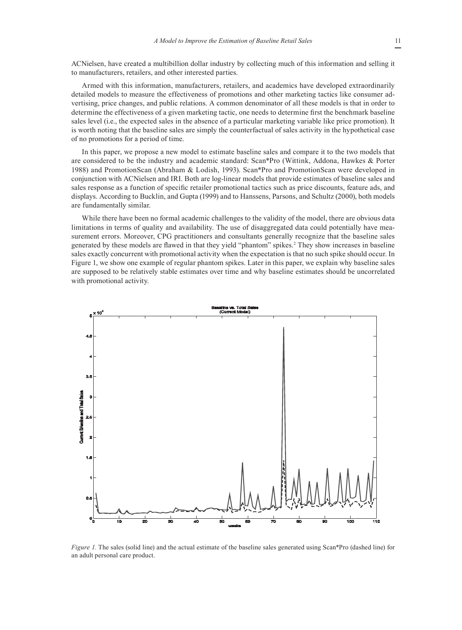ACNielsen, have created a multibillion dollar industry by collecting much of this information and selling it to manufacturers, retailers, and other interested parties.

Armed with this information, manufacturers, retailers, and academics have developed extraordinarily detailed models to measure the effectiveness of promotions and other marketing tactics like consumer advertising, price changes, and public relations. A common denominator of all these models is that in order to determine the effectiveness of a given marketing tactic, one needs to determine first the benchmark baseline sales level (i.e., the expected sales in the absence of a particular marketing variable like price promotion). It is worth noting that the baseline sales are simply the counterfactual of sales activity in the hypothetical case of no promotions for a period of time.

In this paper, we propose a new model to estimate baseline sales and compare it to the two models that are considered to be the industry and academic standard: Scan\*Pro (Wittink, Addona, Hawkes & Porter 1988) and PromotionScan (Abraham & Lodish, 1993). Scan\*Pro and PromotionScan were developed in conjunction with ACNielsen and IRI. Both are log-linear models that provide estimates of baseline sales and sales response as a function of specific retailer promotional tactics such as price discounts, feature ads, and displays. According to Bucklin, and Gupta (1999) and to Hanssens, Parsons, and Schultz (2000), both models are fundamentally similar.

While there have been no formal academic challenges to the validity of the model, there are obvious data limitations in terms of quality and availability. The use of disaggregated data could potentially have measurement errors. Moreover, CPG practitioners and consultants generally recognize that the baseline sales generated by these models are flawed in that they yield "phantom" spikes.2 They show increases in baseline sales exactly concurrent with promotional activity when the expectation is that no such spike should occur. In Figure 1, we show one example of regular phantom spikes. Later in this paper, we explain why baseline sales are supposed to be relatively stable estimates over time and why baseline estimates should be uncorrelated with promotional activity.



*Figure 1.* The sales (solid line) and the actual estimate of the baseline sales generated using Scan\*Pro (dashed line) for an adult personal care product.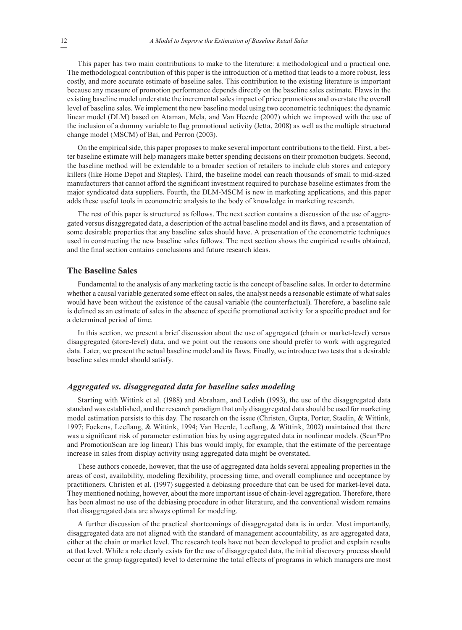This paper has two main contributions to make to the literature: a methodological and a practical one. The methodological contribution of this paper is the introduction of a method that leads to a more robust, less costly, and more accurate estimate of baseline sales. This contribution to the existing literature is important because any measure of promotion performance depends directly on the baseline sales estimate. Flaws in the existing baseline model understate the incremental sales impact of price promotions and overstate the overall level of baseline sales. We implement the new baseline model using two econometric techniques: the dynamic linear model (DLM) based on Ataman, Mela, and Van Heerde (2007) which we improved with the use of the inclusion of a dummy variable to flag promotional activity (Jetta, 2008) as well as the multiple structural change model (MSCM) of Bai, and Perron (2003).

On the empirical side, this paper proposes to make several important contributions to the field. First, a better baseline estimate will help managers make better spending decisions on their promotion budgets. Second, the baseline method will be extendable to a broader section of retailers to include club stores and category killers (like Home Depot and Staples). Third, the baseline model can reach thousands of small to mid-sized manufacturers that cannot afford the significant investment required to purchase baseline estimates from the major syndicated data suppliers. Fourth, the DLM-MSCM is new in marketing applications, and this paper adds these useful tools in econometric analysis to the body of knowledge in marketing research.

The rest of this paper is structured as follows. The next section contains a discussion of the use of aggregated versus disaggregated data, a description of the actual baseline model and its flaws, and a presentation of some desirable properties that any baseline sales should have. A presentation of the econometric techniques used in constructing the new baseline sales follows. The next section shows the empirical results obtained, and the final section contains conclusions and future research ideas.

## **The Baseline Sales**

Fundamental to the analysis of any marketing tactic is the concept of baseline sales. In order to determine whether a causal variable generated some effect on sales, the analyst needs a reasonable estimate of what sales would have been without the existence of the causal variable (the counterfactual). Therefore, a baseline sale is defined as an estimate of sales in the absence of specific promotional activity for a specific product and for a determined period of time.

In this section, we present a brief discussion about the use of aggregated (chain or market-level) versus disaggregated (store-level) data, and we point out the reasons one should prefer to work with aggregated data. Later, we present the actual baseline model and its flaws. Finally, we introduce two tests that a desirable baseline sales model should satisfy.

#### *Aggregated vs. disaggregated data for baseline sales modeling*

Starting with Wittink et al. (1988) and Abraham, and Lodish (1993), the use of the disaggregated data standard was established, and the research paradigm that only disaggregated data should be used for marketing model estimation persists to this day. The research on the issue (Christen, Gupta, Porter, Staelin, & Wittink, 1997; Foekens, Leeflang, & Wittink, 1994; Van Heerde, Leeflang, & Wittink, 2002) maintained that there was a significant risk of parameter estimation bias by using aggregated data in nonlinear models. (Scan\*Pro and PromotionScan are log linear.) This bias would imply, for example, that the estimate of the percentage increase in sales from display activity using aggregated data might be overstated.

These authors concede, however, that the use of aggregated data holds several appealing properties in the areas of cost, availability, modeling flexibility, processing time, and overall compliance and acceptance by practitioners. Christen et al. (1997) suggested a debiasing procedure that can be used for market-level data. They mentioned nothing, however, about the more important issue of chain-level aggregation. Therefore, there has been almost no use of the debiasing procedure in other literature, and the conventional wisdom remains that disaggregated data are always optimal for modeling.

A further discussion of the practical shortcomings of disaggregated data is in order. Most importantly, disaggregated data are not aligned with the standard of management accountability, as are aggregated data, either at the chain or market level. The research tools have not been developed to predict and explain results at that level. While a role clearly exists for the use of disaggregated data, the initial discovery process should occur at the group (aggregated) level to determine the total effects of programs in which managers are most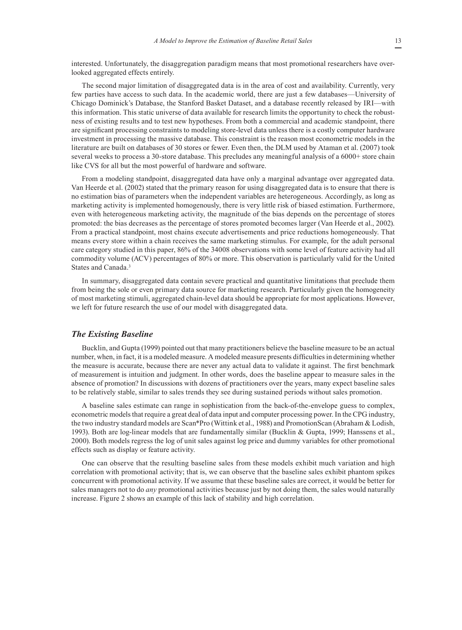interested. Unfortunately, the disaggregation paradigm means that most promotional researchers have overlooked aggregated effects entirely.

The second major limitation of disaggregated data is in the area of cost and availability. Currently, very few parties have access to such data. In the academic world, there are just a few databases—University of Chicago Dominick's Database, the Stanford Basket Dataset, and a database recently released by IRI—with this information. This static universe of data available for research limits the opportunity to check the robustness of existing results and to test new hypotheses. From both a commercial and academic standpoint, there are significant processing constraints to modeling store-level data unless there is a costly computer hardware investment in processing the massive database. This constraint is the reason most econometric models in the literature are built on databases of 30 stores or fewer. Even then, the DLM used by Ataman et al. (2007) took several weeks to process a 30-store database. This precludes any meaningful analysis of a 6000+ store chain like CVS for all but the most powerful of hardware and software.

From a modeling standpoint, disaggregated data have only a marginal advantage over aggregated data. Van Heerde et al. (2002) stated that the primary reason for using disaggregated data is to ensure that there is no estimation bias of parameters when the independent variables are heterogeneous. Accordingly, as long as marketing activity is implemented homogenously, there is very little risk of biased estimation. Furthermore, even with heterogeneous marketing activity, the magnitude of the bias depends on the percentage of stores promoted: the bias decreases as the percentage of stores promoted becomes larger (Van Heerde et al., 2002). From a practical standpoint, most chains execute advertisements and price reductions homogeneously. That means every store within a chain receives the same marketing stimulus. For example, for the adult personal care category studied in this paper, 86% of the 34008 observations with some level of feature activity had all commodity volume (ACV) percentages of 80% or more. This observation is particularly valid for the United States and Canada.<sup>3</sup>

In summary, disaggregated data contain severe practical and quantitative limitations that preclude them from being the sole or even primary data source for marketing research. Particularly given the homogeneity of most marketing stimuli, aggregated chain-level data should be appropriate for most applications. However, we left for future research the use of our model with disaggregated data.

## *The Existing Baseline*

Bucklin, and Gupta (1999) pointed out that many practitioners believe the baseline measure to be an actual number, when, in fact, it is a modeled measure. A modeled measure presents difficulties in determining whether the measure is accurate, because there are never any actual data to validate it against. The first benchmark of measurement is intuition and judgment. In other words, does the baseline appear to measure sales in the absence of promotion? In discussions with dozens of practitioners over the years, many expect baseline sales to be relatively stable, similar to sales trends they see during sustained periods without sales promotion.

A baseline sales estimate can range in sophistication from the back-of-the-envelope guess to complex, econometric models that require a great deal of data input and computer processing power. In the CPG industry, the two industry standard models are Scan\*Pro (Wittink et al., 1988) and PromotionScan (Abraham & Lodish, 1993). Both are log-linear models that are fundamentally similar (Bucklin & Gupta, 1999; Hanssens et al., 2000). Both models regress the log of unit sales against log price and dummy variables for other promotional effects such as display or feature activity.

One can observe that the resulting baseline sales from these models exhibit much variation and high correlation with promotional activity; that is, we can observe that the baseline sales exhibit phantom spikes concurrent with promotional activity. If we assume that these baseline sales are correct, it would be better for sales managers not to do *any* promotional activities because just by not doing them, the sales would naturally increase. Figure 2 shows an example of this lack of stability and high correlation.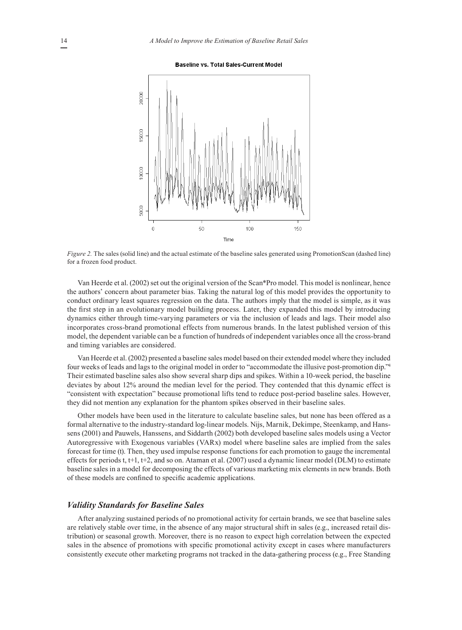**Baseline vs. Total Sales-Current Model** 



*Figure 2.* The sales (solid line) and the actual estimate of the baseline sales generated using PromotionScan (dashed line) for a frozen food product.

Van Heerde et al. (2002) set out the original version of the Scan\*Pro model. This model is nonlinear, hence the authors' concern about parameter bias. Taking the natural log of this model provides the opportunity to conduct ordinary least squares regression on the data. The authors imply that the model is simple, as it was the first step in an evolutionary model building process. Later, they expanded this model by introducing dynamics either through time-varying parameters or via the inclusion of leads and lags. Their model also incorporates cross-brand promotional effects from numerous brands. In the latest published version of this model, the dependent variable can be a function of hundreds of independent variables once all the cross-brand and timing variables are considered.

Van Heerde et al. (2002) presented a baseline sales model based on their extended model where they included four weeks of leads and lags to the original model in order to "accommodate the illusive post-promotion dip."4 Their estimated baseline sales also show several sharp dips and spikes. Within a 10-week period, the baseline deviates by about 12% around the median level for the period. They contended that this dynamic effect is "consistent with expectation" because promotional lifts tend to reduce post-period baseline sales. However, they did not mention any explanation for the phantom spikes observed in their baseline sales.

Other models have been used in the literature to calculate baseline sales, but none has been offered as a formal alternative to the industry-standard log-linear models. Nijs, Marnik, Dekimpe, Steenkamp, and Hanssens (2001) and Pauwels, Hanssens, and Siddarth (2002) both developed baseline sales models using a Vector Autoregressive with Exogenous variables (VARx) model where baseline sales are implied from the sales forecast for time (t). Then, they used impulse response functions for each promotion to gauge the incremental effects for periods t,  $t+1$ ,  $t+2$ , and so on. Ataman et al. (2007) used a dynamic linear model (DLM) to estimate baseline sales in a model for decomposing the effects of various marketing mix elements in new brands. Both of these models are confined to specific academic applications.

#### *Validity Standards for Baseline Sales*

After analyzing sustained periods of no promotional activity for certain brands, we see that baseline sales are relatively stable over time, in the absence of any major structural shift in sales (e.g., increased retail distribution) or seasonal growth. Moreover, there is no reason to expect high correlation between the expected sales in the absence of promotions with specific promotional activity except in cases where manufacturers consistently execute other marketing programs not tracked in the data-gathering process (e.g., Free Standing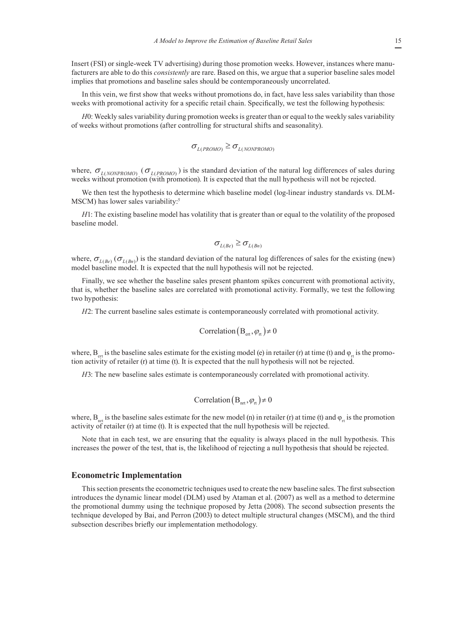Insert (FSI) or single-week TV advertising) during those promotion weeks. However, instances where manufacturers are able to do this *consistently* are rare. Based on this, we argue that a superior baseline sales model implies that promotions and baseline sales should be contemporaneously uncorrelated.

In this vein, we first show that weeks without promotions do, in fact, have less sales variability than those weeks with promotional activity for a specific retail chain. Specifically, we test the following hypothesis:

*H*0: Weekly sales variability during promotion weeks is greater than or equal to the weekly sales variability of weeks without promotions (after controlling for structural shifts and seasonality).

$$
\sigma_{L(PROMO)} \geq \sigma_{L(NONPROMO)}
$$

where,  $\sigma_{L(NONPROMO)}$  ( $\sigma_{L(PROMO)}$ ) is the standard deviation of the natural log differences of sales during weeks without promotion (with promotion). It is expected that the null hypothesis will not be rejected.

We then test the hypothesis to determine which baseline model (log-linear industry standards vs. DLM-MSCM) has lower sales variability:<sup>5</sup>

*H*1: The existing baseline model has volatility that is greater than or equal to the volatility of the proposed baseline model.

$$
\sigma_{L(Be)} \geq \sigma_{L(Bn)}
$$

where,  $\sigma_{L(Be)}(\sigma_{L(Bn)})$  is the standard deviation of the natural log differences of sales for the existing (new) model baseline model. It is expected that the null hypothesis will not be rejected.

Finally, we see whether the baseline sales present phantom spikes concurrent with promotional activity, that is, whether the baseline sales are correlated with promotional activity. Formally, we test the following two hypothesis:

*H*2: The current baseline sales estimate is contemporaneously correlated with promotional activity.

Correlation 
$$
(B_{\text{ert}}, \varphi_{\text{rt}}) \neq 0
$$

where,  $B_{\text{en}}$  is the baseline sales estimate for the existing model (e) in retailer (r) at time (t) and  $\varphi_{\text{en}}$  is the promotion activity of retailer (r) at time (t). It is expected that the null hypothesis will not be rejected.

*H*3: The new baseline sales estimate is contemporaneously correlated with promotional activity.

$$
Correlation (Bnt, \varphirt) \neq 0
$$

where,  $B_{nrt}$  is the baseline sales estimate for the new model (n) in retailer (r) at time (t) and  $\varphi_{rt}$  is the promotion activity of retailer (r) at time (t). It is expected that the null hypothesis will be rejected.

Note that in each test, we are ensuring that the equality is always placed in the null hypothesis. This increases the power of the test, that is, the likelihood of rejecting a null hypothesis that should be rejected.

#### **Econometric Implementation**

This section presents the econometric techniques used to create the new baseline sales. The first subsection introduces the dynamic linear model (DLM) used by Ataman et al. (2007) as well as a method to determine the promotional dummy using the technique proposed by Jetta (2008). The second subsection presents the technique developed by Bai, and Perron (2003) to detect multiple structural changes (MSCM), and the third subsection describes briefly our implementation methodology.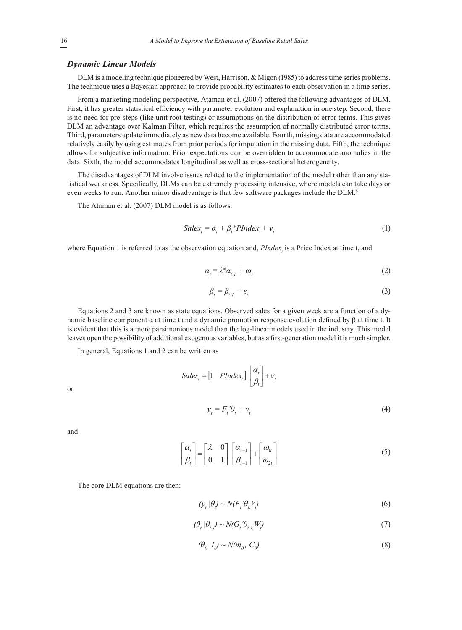#### *Dynamic Linear Models*

DLM is a modeling technique pioneered by West, Harrison, & Migon (1985) to address time series problems. The technique uses a Bayesian approach to provide probability estimates to each observation in a time series.

From a marketing modeling perspective, Ataman et al. (2007) offered the following advantages of DLM. First, it has greater statistical efficiency with parameter evolution and explanation in one step. Second, there is no need for pre-steps (like unit root testing) or assumptions on the distribution of error terms. This gives DLM an advantage over Kalman Filter, which requires the assumption of normally distributed error terms. Third, parameters update immediately as new data become available. Fourth, missing data are accommodated relatively easily by using estimates from prior periods for imputation in the missing data. Fifth, the technique allows for subjective information. Prior expectations can be overridden to accommodate anomalies in the data. Sixth, the model accommodates longitudinal as well as cross-sectional heterogeneity.

The disadvantages of DLM involve issues related to the implementation of the model rather than any statistical weakness. Specifically, DLMs can be extremely processing intensive, where models can take days or even weeks to run. Another minor disadvantage is that few software packages include the DLM.<sup>6</sup>

The Ataman et al. (2007) DLM model is as follows:

$$
Sales_{t} = \alpha_{t} + \beta_{t} * PIndex_{t} + v_{t}
$$
 (1)

where Equation 1 is referred to as the observation equation and,  $PIndex<sub>t</sub>$  is a Price Index at time t, and

$$
\alpha_{t} = \lambda^* \alpha_{t-1} + \omega_{t} \tag{2}
$$

$$
\beta_{t} = \beta_{t} + \varepsilon_{t} \tag{3}
$$

Equations 2 and 3 are known as state equations. Observed sales for a given week are a function of a dynamic baseline component α at time t and a dynamic promotion response evolution defined by  $β$  at time t. It is evident that this is a more parsimonious model than the log-linear models used in the industry. This model leaves open the possibility of additional exogenous variables, but as a first-generation model it is much simpler.

In general, Equations 1 and 2 can be written as

$$
Sales_{t} = \begin{bmatrix} 1 & PIndex_{t} \end{bmatrix} \begin{bmatrix} \alpha_{t} \\ \beta_{t} \end{bmatrix} + v_{t}
$$

$$
y_{t} = F_{t} \theta_{t} + v_{t}
$$
(4)

or

and

$$
\begin{bmatrix} \alpha_t \\ \beta_t \end{bmatrix} = \begin{bmatrix} \lambda & 0 \\ 0 & 1 \end{bmatrix} \begin{bmatrix} \alpha_{t-1} \\ \beta_{t-1} \end{bmatrix} + \begin{bmatrix} \omega_{1t} \\ \omega_{2t} \end{bmatrix}
$$
 (5)

The core DLM equations are then:

$$
\left(\mathcal{Y}_t | \theta\right) \sim N(F_t' \theta_t V) \tag{6}
$$

$$
(\theta_i \mid \theta_{i} \rangle \sim N(G_i \mid \theta_{i} N)
$$
\n<sup>(7)</sup>

$$
(\theta_o | I_o) \sim N(m_o, C_o)
$$
 (8)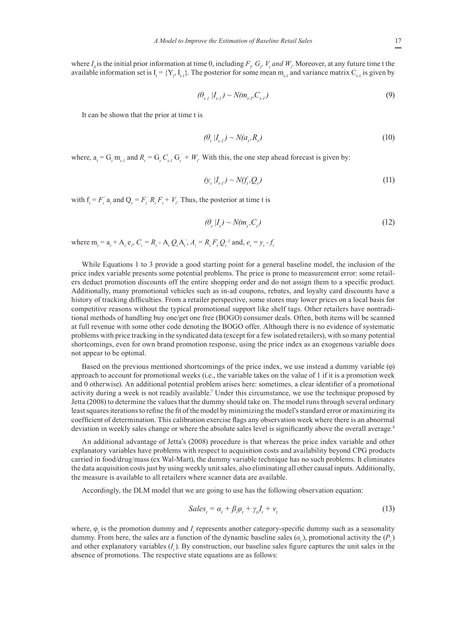where  $I_0$  is the initial prior information at time 0, including  $F_r$ ,  $G_r$ ,  $V_t$  and  $W_t$ . Moreover, at any future time t the available information set is  $I_t = \{Y_t, I_{t-1}\}$ . The posterior for some mean  $m_{t-1}$  and variance matrix  $C_{t-1}$  is given by

$$
(\theta_{t-1} | I_{t-1}) \sim N(m_{t-1}, C_{t-1})
$$
\n(9)

It can be shown that the prior at time t is

$$
(\theta_t | I_{t-1}) \sim N(a_t, R_t) \tag{10}
$$

where,  $a_t = G_t m_{t-1}$  and  $R_t = G_t C_{t-1} G_t + W_t$ . With this, the one step ahead forecast is given by:

$$
\left(\mathcal{Y}_t | I_{t-1}\right) \sim N(f_t, Q_t) \tag{11}
$$

with  $f_t = F_t$  a<sub>t</sub> and  $Q_t = F_t$   $R_t F_t + V_t$ . Thus, the posterior at time t is

$$
(\theta_t | I_t) \sim N(m_t, C_t) \tag{12}
$$

where  $m_t = a_t + A_t e_t, C_t = R_t - A_t Q_t A_t, A_t = R_t F_t Q_t^{-1}$  and,  $e_t = y_t - f_t$ 

While Equations 1 to 3 provide a good starting point for a general baseline model, the inclusion of the price index variable presents some potential problems. The price is prone to measurement error: some retailers deduct promotion discounts off the entire shopping order and do not assign them to a specific product. Additionally, many promotional vehicles such as in-ad coupons, rebates, and loyalty card discounts have a history of tracking difficulties. From a retailer perspective, some stores may lower prices on a local basis for competitive reasons without the typical promotional support like shelf tags. Other retailers have nontraditional methods of handling buy one/get one free (BOGO) consumer deals. Often, both items will be scanned at full revenue with some other code denoting the BOGO offer. Although there is no evidence of systematic problems with price tracking in the syndicated data (except for a few isolated retailers), with so many potential shortcomings, even for own brand promotion response, using the price index as an exogenous variable does not appear to be optimal.

Based on the previous mentioned shortcomings of the price index, we use instead a dummy variable (φ) approach to account for promotional weeks (i.e., the variable takes on the value of 1 if it is a promotion week and 0 otherwise). An additional potential problem arises here: sometimes, a clear identifier of a promotional activity during a week is not readily available.<sup>7</sup> Under this circumstance, we use the technique proposed by Jetta (2008) to determine the values that the dummy should take on. The model runs through several ordinary least squares iterations to refine the fit of the model by minimizing the model's standard error or maximizing its coefficient of determination. This calibration exercise flags any observation week where there is an abnormal deviation in weekly sales change or where the absolute sales level is significantly above the overall average.<sup>8</sup>

An additional advantage of Jetta's (2008) procedure is that whereas the price index variable and other explanatory variables have problems with respect to acquisition costs and availability beyond CPG products carried in food/drug/mass (ex Wal-Mart), the dummy variable technique has no such problems. It eliminates the data acquisition costs just by using weekly unit sales, also eliminating all other causal inputs. Additionally, the measure is available to all retailers where scanner data are available.

Accordingly, the DLM model that we are going to use has the following observation equation:

$$
Sales_{t} = \alpha_{t} + \beta_{t} \varphi_{t} + \gamma_{t} I_{t} + \nu_{t}
$$
\n(13)

where,  $\varphi_t$  is the promotion dummy and  $I_t$  represents another category-specific dummy such as a seasonality dummy. From here, the sales are a function of the dynamic baseline sales  $(a_t)$ , promotional activity the  $(P_t)$ and other explanatory variables  $(I_t)$ . By construction, our baseline sales figure captures the unit sales in the absence of promotions. The respective state equations are as follows: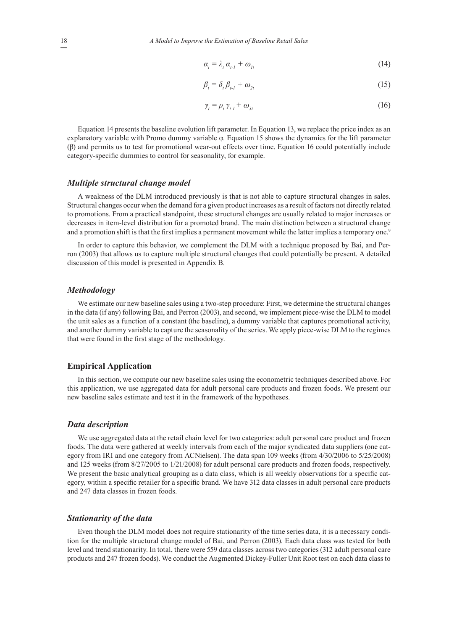$$
\alpha_{t} = \lambda_{t} \alpha_{t-1} + \omega_{lt} \tag{14}
$$

$$
\beta_t = \delta_t \beta_{t-1} + \omega_{2t} \tag{15}
$$

$$
\gamma_t = \rho_t \gamma_{t-1} + \omega_{3t} \tag{16}
$$

Equation 14 presents the baseline evolution lift parameter. In Equation 13, we replace the price index as an explanatory variable with Promo dummy variable φ. Equation 15 shows the dynamics for the lift parameter (β) and permits us to test for promotional wear-out effects over time. Equation 16 could potentially include category-specific dummies to control for seasonality, for example.

#### *Multiple structural change model*

A weakness of the DLM introduced previously is that is not able to capture structural changes in sales. Structural changes occur when the demand for a given product increases as a result of factors not directly related to promotions. From a practical standpoint, these structural changes are usually related to major increases or decreases in item-level distribution for a promoted brand. The main distinction between a structural change and a promotion shift is that the first implies a permanent movement while the latter implies a temporary one.<sup>9</sup>

In order to capture this behavior, we complement the DLM with a technique proposed by Bai, and Perron (2003) that allows us to capture multiple structural changes that could potentially be present. A detailed discussion of this model is presented in Appendix B.

#### *Methodology*

We estimate our new baseline sales using a two-step procedure: First, we determine the structural changes in the data (if any) following Bai, and Perron (2003), and second, we implement piece-wise the DLM to model the unit sales as a function of a constant (the baseline), a dummy variable that captures promotional activity, and another dummy variable to capture the seasonality of the series. We apply piece-wise DLM to the regimes that were found in the first stage of the methodology.

## **Empirical Application**

In this section, we compute our new baseline sales using the econometric techniques described above. For this application, we use aggregated data for adult personal care products and frozen foods. We present our new baseline sales estimate and test it in the framework of the hypotheses.

#### *Data description*

We use aggregated data at the retail chain level for two categories: adult personal care product and frozen foods. The data were gathered at weekly intervals from each of the major syndicated data suppliers (one category from IRI and one category from ACNielsen). The data span 109 weeks (from 4/30/2006 to 5/25/2008) and 125 weeks (from 8/27/2005 to 1/21/2008) for adult personal care products and frozen foods, respectively. We present the basic analytical grouping as a data class, which is all weekly observations for a specific category, within a specific retailer for a specific brand. We have 312 data classes in adult personal care products and 247 data classes in frozen foods.

#### *Stationarity of the data*

Even though the DLM model does not require stationarity of the time series data, it is a necessary condition for the multiple structural change model of Bai, and Perron (2003). Each data class was tested for both level and trend stationarity. In total, there were 559 data classes across two categories (312 adult personal care products and 247 frozen foods). We conduct the Augmented Dickey-Fuller Unit Root test on each data class to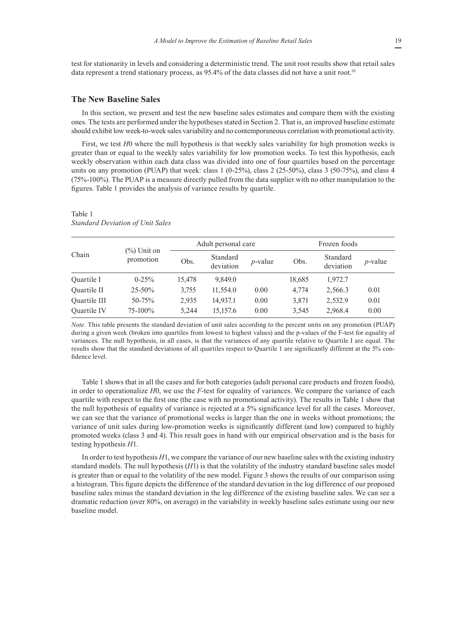test for stationarity in levels and considering a deterministic trend. The unit root results show that retail sales data represent a trend stationary process, as  $95.4\%$  of the data classes did not have a unit root.<sup>10</sup>

## **The New Baseline Sales**

In this section, we present and test the new baseline sales estimates and compare them with the existing ones. The tests are performed under the hypotheses stated in Section 2. That is, an improved baseline estimate should exhibit low week-to-week sales variability and no contemporaneous correlation with promotional activity.

First, we test *H*0 where the null hypothesis is that weekly sales variability for high promotion weeks is greater than or equal to the weekly sales variability for low promotion weeks. To test this hypothesis, each weekly observation within each data class was divided into one of four quartiles based on the percentage units on any promotion (PUAP) that week: class  $1$  (0-25%), class  $2$  (25-50%), class  $3$  (50-75%), and class  $4$ (75%-100%). The PUAP is a measure directly pulled from the data supplier with no other manipulation to the figures. Table 1 provides the analysis of variance results by quartile.

|              | $(\%)$ Unit on<br>promotion | Adult personal care |                       |            | Frozen foods |                       |            |
|--------------|-----------------------------|---------------------|-----------------------|------------|--------------|-----------------------|------------|
| Chain        |                             | Obs.                | Standard<br>deviation | $p$ -value | Obs.         | Standard<br>deviation | $p$ -value |
| Quartile I   | $0 - 25\%$                  | 15,478              | 9,849.0               |            | 18,685       | 1,972.7               |            |
| Quartile II  | $25 - 50\%$                 | 3,755               | 11,554.0              | 0.00       | 4.774        | 2,566.3               | 0.01       |
| Quartile III | $50 - 75%$                  | 2,935               | 14,937.1              | 0.00       | 3,871        | 2,532.9               | 0.01       |
| Quartile IV  | $75 - 100\%$                | 5,244               | 15,157.6              | 0.00       | 3.545        | 2,968.4               | 0.00       |

Table 1 *Standard Deviation of Unit Sales*

*Note.* This table presents the standard deviation of unit sales according to the percent units on any promotion (PUAP) during a given week (broken into quartiles from lowest to highest values) and the p-values of the F-test for equality of variances. The null hypothesis, in all cases, is that the variances of any quartile relative to Quartile I are equal. The results show that the standard deviations of all quartiles respect to Quartile 1 are significantly different at the 5% confidence level.

Table 1 shows that in all the cases and for both categories (adult personal care products and frozen foods), in order to operationalize *H*0, we use the *F*-test for equality of variances. We compare the variance of each quartile with respect to the first one (the case with no promotional activity). The results in Table 1 show that the null hypothesis of equality of variance is rejected at a 5% significance level for all the cases. Moreover, we can see that the variance of promotional weeks is larger than the one in weeks without promotions; the variance of unit sales during low-promotion weeks is significantly different (and low) compared to highly promoted weeks (class 3 and 4). This result goes in hand with our empirical observation and is the basis for testing hypothesis *H*1.

In order to test hypothesis *H*1, we compare the variance of our new baseline sales with the existing industry standard models. The null hypothesis (*H*1) is that the volatility of the industry standard baseline sales model is greater than or equal to the volatility of the new model. Figure 3 shows the results of our comparison using a histogram. This figure depicts the difference of the standard deviation in the log difference of our proposed baseline sales minus the standard deviation in the log difference of the existing baseline sales. We can see a dramatic reduction (over 80%, on average) in the variability in weekly baseline sales estimate using our new baseline model.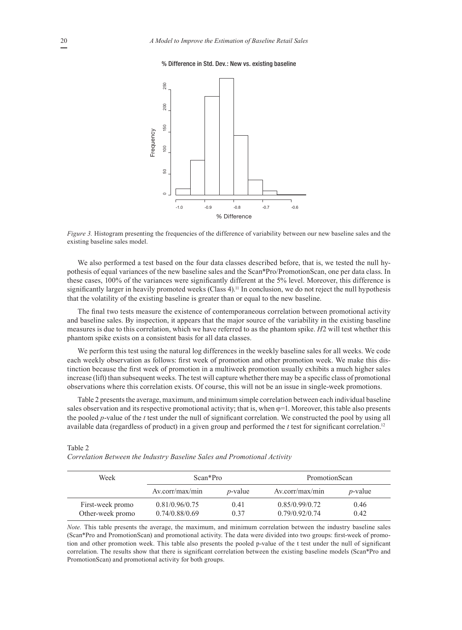#### % Difference in Std. Dev.: New vs. existing baseline **% Difference in Std. Dev: New vs. Existing Baseline**



*Figure 3.* Histogram presenting the frequencies of the difference of variability between our new baseline sales and the existing baseline sales model.

We also performed a test based on the four data classes described before, that is, we tested the null hypothesis of equal variances of the new baseline sales and the Scan\*Pro/PromotionScan, one per data class. In these cases, 100% of the variances were significantly different at the 5% level. Moreover, this difference is significantly larger in heavily promoted weeks (Class 4).<sup>11</sup> In conclusion, we do not reject the null hypothesis that the volatility of the existing baseline is greater than or equal to the new baseline.

The final two tests measure the existence of contemporaneous correlation between promotional activity and baseline sales. By inspection, it appears that the major source of the variability in the existing baseline measures is due to this correlation, which we have referred to as the phantom spike. *H*2 will test whether this phantom spike exists on a consistent basis for all data classes.

We perform this test using the natural log differences in the weekly baseline sales for all weeks. We code each weekly observation as follows: first week of promotion and other promotion week. We make this distinction because the first week of promotion in a multiweek promotion usually exhibits a much higher sales increase (lift) than subsequent weeks. The test will capture whether there may be a specific class of promotional observations where this correlation exists. Of course, this will not be an issue in single-week promotions.

Table 2 presents the average, maximum, and minimum simple correlation between each individual baseline sales observation and its respective promotional activity; that is, when  $\varphi$ =1. Moreover, this table also presents the pooled *p*-value of the *t* test under the null of significant correlation. We constructed the pool by using all available data (regardless of product) in a given group and performed the  $t$  test for significant correlation.<sup>12</sup>

| Week                                 | Scan*Pro                         |                 | PromotionScan                    |              |  |
|--------------------------------------|----------------------------------|-----------------|----------------------------------|--------------|--|
|                                      | Av.corr/max/min                  | <i>p</i> -value | Av.corr/max/min                  | $p$ -value   |  |
| First-week promo<br>Other-week promo | 0.81/0.96/0.75<br>0.74/0.88/0.69 | 0.41<br>0.37    | 0.85/0.99/0.72<br>0.79/0.92/0.74 | 0.46<br>0.42 |  |

*Correlation Between the Industry Baseline Sales and Promotional Activity*

*Note.* This table presents the average, the maximum, and minimum correlation between the industry baseline sales (Scan\*Pro and PromotionScan) and promotional activity. The data were divided into two groups: first-week of promotion and other promotion week. This table also presents the pooled p-value of the t test under the null of significant correlation. The results show that there is significant correlation between the existing baseline models (Scan\*Pro and PromotionScan) and promotional activity for both groups.

Table 2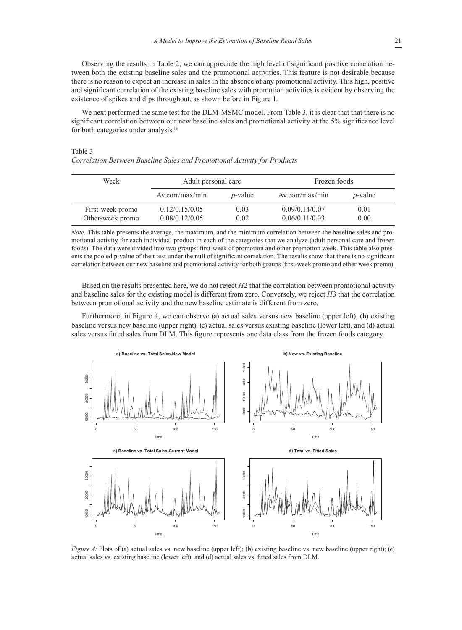Observing the results in Table 2, we can appreciate the high level of significant positive correlation between both the existing baseline sales and the promotional activities. This feature is not desirable because there is no reason to expect an increase in sales in the absence of any promotional activity. This high, positive and significant correlation of the existing baseline sales with promotion activities is evident by observing the existence of spikes and dips throughout, as shown before in Figure 1.

We next performed the same test for the DLM-MSMC model. From Table 3, it is clear that that there is no significant correlation between our new baseline sales and promotional activity at the 5% significance level for both categories under analysis.<sup>13</sup>

#### Table 3

*Correlation Between Baseline Sales and Promotional Activity for Products*

| Week             | Adult personal care |                 | Frozen foods    |                 |  |
|------------------|---------------------|-----------------|-----------------|-----------------|--|
|                  | Av.corr/max/min     | <i>p</i> -value | Av.corr/max/min | <i>p</i> -value |  |
| First-week promo | 0.12/0.15/0.05      | 0.03            | 0.09/0.14/0.07  | 0.01            |  |
| Other-week promo | 0.08/0.12/0.05      | 0.02            | 0.06/0.11/0.03  | 0.00            |  |

*Note.* This table presents the average, the maximum, and the minimum correlation between the baseline sales and promotional activity for each individual product in each of the categories that we analyze (adult personal care and frozen foods). The data were divided into two groups: first-week of promotion and other promotion week. This table also presents the pooled p-value of the t test under the null of significant correlation. The results show that there is no significant correlation between our new baseline and promotional activity for both groups (first-week promo and other-week promo).

Based on the results presented here, we do not reject *H*2 that the correlation between promotional activity and baseline sales for the existing model is different from zero. Conversely, we reject *H*3 that the correlation between promotional activity and the new baseline estimate is different from zero.

Furthermore, in Figure 4, we can observe (a) actual sales versus new baseline (upper left), (b) existing baseline versus new baseline (upper right), (c) actual sales versus existing baseline (lower left), and (d) actual sales versus fitted sales from DLM. This figure represents one data class from the frozen foods category.



*Figure 4: Plots of (a) actual sales vs. new baseline (upper left); (b) existing baseline vs. new baseline (upper right); (c)* actual sales vs. existing baseline (lower left), and (d) actual sales vs. fitted sales from DLM.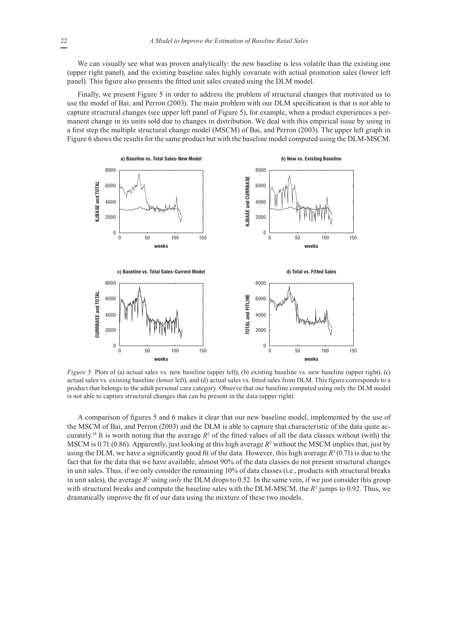We can visually see what was proven analytically: the new baseline is less volatile than the existing one (upper right panel), and the existing baseline sales highly covariate with actual promotion sales (lower left panel). This figure also presents the fitted unit sales created using the DLM model.

Finally, we present Figure 5 in order to address the problem of structural changes that motivated us to use the model of Bai, and Perron (2003). The main problem with our DLM specification is that is not able to capture structural changes (see upper left panel of Figure 5), for example, when a product experiences a permanent change in its units sold due to changes in distribution. We deal with this empirical issue by using in a first step the multiple structural change model (MSCM) of Bai, and Perron (2003). The upper left graph in Figure 6 shows the results for the same product but with the baseline model computed using the DLM-MSCM.



*Figure 5:* Plots of (a) actual sales vs. new baseline (upper left), (b) existing baseline vs. new baseline (upper right), (c) actual sales vs. existing baseline (lower left), and (d) actual sales vs. fitted sales from DLM. This figure corresponds to a product that belongs to the adult personal care category. Observe that our baseline computed using only the DLM model is not able to capture structural changes that can be present in the data (upper right).

A comparison of figures 5 and 6 makes it clear that our new baseline model, implemented by the use of the MSCM of Bai, and Perron (2003) and the DLM is able to capture that characteristic of the data quite accurately.<sup>14</sup> It is worth noting that the average  $R^2$  of the fitted values of all the data classes without (with) the MSCM is 0.71 (0.86). Apparently, just looking at this high average  $R^2$  without the MSCM implies that, just by using the DLM, we have a significantly good fit of the data. However, this high average  $R^2(0.71)$  is due to the fact that for the data that we have available, almost 90% of the data classes do not present structural changes in unit sales. Thus, if we only consider the remaining 10% of data classes (i.e., products with structural breaks in unit sales), the average  $R^2$  using *only* the DLM drops to 0.52. In the same vein, if we just consider this group with structural breaks and compute the baseline sales with the  $DLM\text{-}MSCM$ , the  $R^2$  jumps to 0.92. Thus, we dramatically improve the fit of our data using the mixture of these two models.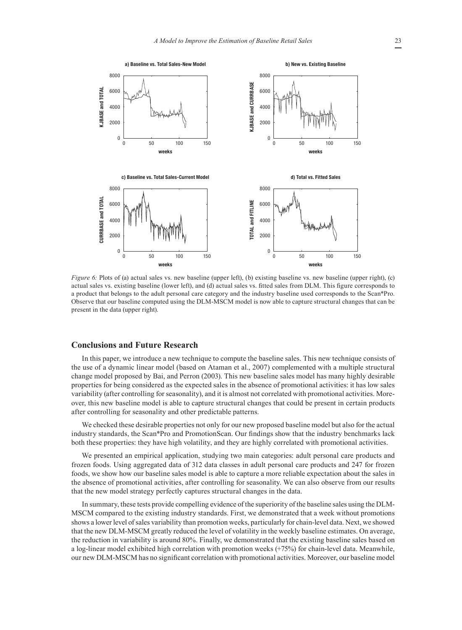

*Figure 6: Plots of (a) actual sales vs. new baseline (upper left), (b) existing baseline vs. new baseline (upper right), (c)* actual sales vs. existing baseline (lower left), and (d) actual sales vs. fitted sales from DLM. This figure corresponds to a product that belongs to the adult personal care category and the industry baseline used corresponds to the Scan\*Pro. Observe that our baseline computed using the DLM-MSCM model is now able to capture structural changes that can be present in the data (upper right).

#### **Conclusions and Future Research**

In this paper, we introduce a new technique to compute the baseline sales. This new technique consists of the use of a dynamic linear model (based on Ataman et al., 2007) complemented with a multiple structural change model proposed by Bai, and Perron (2003). This new baseline sales model has many highly desirable properties for being considered as the expected sales in the absence of promotional activities: it has low sales variability (after controlling for seasonality), and it is almost not correlated with promotional activities. Moreover, this new baseline model is able to capture structural changes that could be present in certain products after controlling for seasonality and other predictable patterns.

We checked these desirable properties not only for our new proposed baseline model but also for the actual industry standards, the Scan\*Pro and PromotionScan. Our findings show that the industry benchmarks lack both these properties: they have high volatility, and they are highly correlated with promotional activities.

We presented an empirical application, studying two main categories: adult personal care products and frozen foods. Using aggregated data of 312 data classes in adult personal care products and 247 for frozen foods, we show how our baseline sales model is able to capture a more reliable expectation about the sales in the absence of promotional activities, after controlling for seasonality. We can also observe from our results that the new model strategy perfectly captures structural changes in the data.

In summary, these tests provide compelling evidence of the superiority of the baseline sales using the DLM-MSCM compared to the existing industry standards. First, we demonstrated that a week without promotions shows a lower level of sales variability than promotion weeks, particularly for chain-level data. Next, we showed that the new DLM-MSCM greatly reduced the level of volatility in the weekly baseline estimates. On average, the reduction in variability is around 80%. Finally, we demonstrated that the existing baseline sales based on a log-linear model exhibited high correlation with promotion weeks (+75%) for chain-level data. Meanwhile, our new DLM-MSCM has no significant correlation with promotional activities. Moreover, our baseline model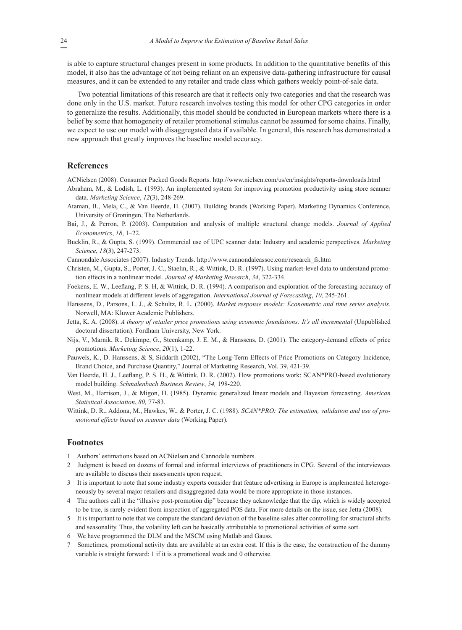is able to capture structural changes present in some products. In addition to the quantitative benefits of this model, it also has the advantage of not being reliant on an expensive data-gathering infrastructure for causal measures, and it can be extended to any retailer and trade class which gathers weekly point-of-sale data.

Two potential limitations of this research are that it reflects only two categories and that the research was done only in the U.S. market. Future research involves testing this model for other CPG categories in order to generalize the results. Additionally, this model should be conducted in European markets where there is a belief by some that homogeneity of retailer promotional stimulus cannot be assumed for some chains. Finally, we expect to use our model with disaggregated data if available. In general, this research has demonstrated a new approach that greatly improves the baseline model accuracy.

## **References**

- ACNielsen (2008). Consumer Packed Goods Reports. http://www.nielsen.com/us/en/insights/reports-downloads.html
- Abraham, M., & Lodish, L. (1993). An implemented system for improving promotion productivity using store scanner data. *Marketing Science*, *12*(3), 248-269.
- Ataman, B., Mela, C., & Van Heerde, H. (2007). Building brands (Working Paper). Marketing Dynamics Conference, University of Groningen, The Netherlands.
- Bai, J., & Perron, P. (2003). Computation and analysis of multiple structural change models. *Journal of Applied Econometrics*, *18*, 1–22.
- Bucklin, R., & Gupta, S. (1999). Commercial use of UPC scanner data: Industry and academic perspectives. *Marketing Science*, *18*(3), 247-273.
- Cannondale Associates (2007). Industry Trends. http://www.cannondaleassoc.com/research\_fs.htm
- Christen, M., Gupta, S., Porter, J. C., Staelin, R., & Wittink, D. R. (1997). Using market-level data to understand promotion effects in a nonlinear model. *Journal of Marketing Research*, *34*, 322-334.
- Foekens, E. W., Leeflang, P. S. H, & Wittink, D. R. (1994). A comparison and exploration of the forecasting accuracy of nonlinear models at different levels of aggregation. *International Journal of Forecasting*, *10,* 245-261.
- Hanssens, D., Parsons, L. J., & Schultz, R. L. (2000). *Market response models: Econometric and time series analysis*. Norwell, MA: Kluwer Academic Publishers.
- Jetta, K. A. (2008). *A theory of retailer price promotions using economic foundations: It's all incremental* (Unpublished doctoral dissertation). Fordham University, New York.
- Nijs, V., Marnik, R., Dekimpe, G., Steenkamp, J. E. M., & Hanssens, D. (2001). The category-demand effects of price promotions. *Marketing Science*, *20*(1), 1-22.
- Pauwels, K., D. Hanssens, & S, Siddarth (2002), "The Long-Term Effects of Price Promotions on Category Incidence, Brand Choice, and Purchase Quantity," Journal of Marketing Research, Vol. 39, 421-39.
- Van Heerde, H. J., Leeflang, P. S. H., & Wittink, D. R. (2002). How promotions work: SCAN\*PRO-based evolutionary model building. *Schmalenbach Business Review*, *54,* 198-220.
- West, M., Harrison, J., & Migon, H. (1985). Dynamic generalized linear models and Bayesian forecasting. *American Statistical Association*, *80,* 77-83.
- Wittink, D. R., Addona, M., Hawkes, W., & Porter, J. C. (1988). *SCAN\*PRO: The estimation, validation and use of promotional effects based on scanner data* (Working Paper).

## **Footnotes**

- 1 Authors' estimations based on ACNielsen and Cannodale numbers.
- 2 Judgment is based on dozens of formal and informal interviews of practitioners in CPG. Several of the interviewees are available to discuss their assessments upon request.
- 3 It is important to note that some industry experts consider that feature advertising in Europe is implemented heterogeneously by several major retailers and disaggregated data would be more appropriate in those instances.
- 4 The authors call it the "illusive post-promotion dip" because they acknowledge that the dip, which is widely accepted to be true, is rarely evident from inspection of aggregated POS data. For more details on the issue, see Jetta (2008).
- 5 It is important to note that we compute the standard deviation of the baseline sales after controlling for structural shifts and seasonality. Thus, the volatility left can be basically attributable to promotional activities of some sort.
- 6 We have programmed the DLM and the MSCM using Matlab and Gauss.
- 7 Sometimes, promotional activity data are available at an extra cost. If this is the case, the construction of the dummy variable is straight forward: 1 if it is a promotional week and 0 otherwise.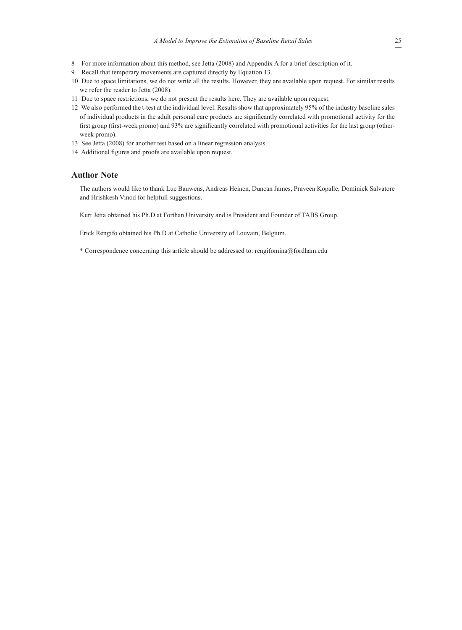- 8 For more information about this method, see Jetta (2008) and Appendix A for a brief description of it.
- 9 Recall that temporary movements are captured directly by Equation 13.
- 10 Due to space limitations, we do not write all the results. However, they are available upon request. For similar results we refer the reader to Jetta (2008).
- 11 Due to space restrictions, we do not present the results here. They are available upon request.
- 12 We also performed the t-test at the individual level. Results show that approximately 95% of the industry baseline sales of individual products in the adult personal care products are significantly correlated with promotional activity for the first group (first-week promo) and 93% are significantly correlated with promotional activities for the last group (otherweek promo).
- 13 See Jetta (2008) for another test based on a linear regression analysis.
- 14 Additional figures and proofs are available upon request.

## **Author Note**

The authors would like to thank Luc Bauwens, Andreas Heinen, Duncan James, Praveen Kopalle, Dominick Salvatore and Hrishkesh Vinod for helpfull suggestions.

Kurt Jetta obtained his Ph.D at Forthan University and is President and Founder of TABS Group.

Erick Rengifo obtained his Ph.D at Catholic University of Louvain, Belgium.

\* Correspondence concerning this article should be addressed to: rengifomina@fordham.edu